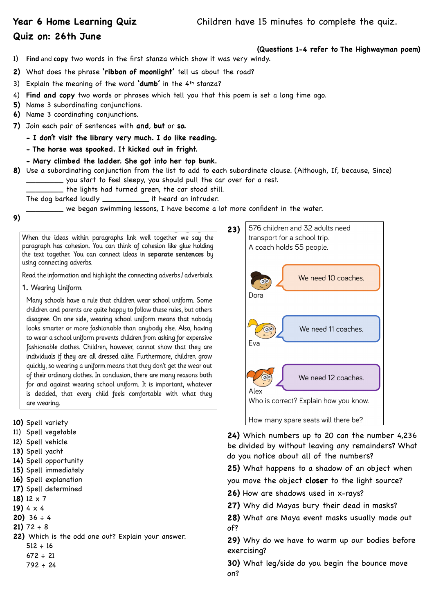## **Quiz on: 26th June**

- **(Questions 1-4 refer to The Highwayman poem)**
- 1) **Find** and **copy** two words in the first stanza which show it was very windy.
- **2)** What does the phrase **'ribbon of moonlight'** tell us about the road?
- 3) Explain the meaning of the word **'dumb'** in the 4th stanza?
- 4) **Find and copy** two words or phrases which tell you that this poem is set a long time ago.
- **5)** Name 3 subordinating conjunctions.
- **6)** Name 3 coordinating conjunctions.
- **7)** Join each pair of sentences with **and**, **but** or **so.** 
	- **I don't visit the library very much. I do like reading.**
	- **The horse was spooked. It kicked out in fright.**
	- **Mary climbed the ladder. She got into her top bunk.**
- **8)** Use a subordinating conjunction from the list to add to each subordinate clause. (Although, If, because, Since) \_\_\_\_\_\_\_\_ you start to feel sleepy, you should pull the car over for a rest.
	- \_\_\_\_\_\_\_\_ the lights had turned green, the car stood still.
	- The dog barked loudly \_\_\_\_\_\_\_\_\_\_ it heard an intruder.

\_\_\_\_\_\_\_\_ we began swimming lessons, I have become a lot more confident in the water.

**9)**

When the ideas within paragraphs link well together we say the paragraph has cohesion. You can think of cohesion like glue holding the text together. You can connect ideas in separate sentences by using connecting adverbs.

Read the information and highlight the connecting adverbs / adverbials.

1. Wearing Uniform

Many schools have a rule that children wear school uniform. Some children and parents are quite happy to follow these rules, but others disagree. On one side, wearing school uniform means that nobody looks smarter or more fashionable than anybody else. Also, having to wear a school uniform prevents children from asking for expensive fashionable clothes. Children, however, cannot show that they are individuals if they are all dressed alike. Furthermore, children grow quickly, so wearing a uniform means that they don't get the wear out of their ordinary clothes. In conclusion, there are many reasons both for and against wearing school uniform. It is important, whatever is decided, that every child feels comfortable with what they are wearing.

**10)** Spell variety

- 11) Spell vegetable
- 12) Spell vehicle
- **13)** Spell yacht
- **14)** Spell opportunity
- **15)** Spell immediately
- **16)** Spell explanation
- **17)** Spell determined
- **18)** 12 x 7
- **19)** 4 x 4
- **20)** 36 ÷ 4
- **21)** 72 ÷ 8
- **22)** Which is the odd one out? Explain your answer.  $512 \div 16$ 
	- $672 \div 21$
	- $792 \div 24$



**24)** Which numbers up to 20 can the number 4,236 be divided by without leaving any remainders? What do you notice about all of the numbers?

**25)** What happens to a shadow of an object when

- you move the object **closer** to the light source?
- **26)** How are shadows used in x-rays?
- **27)** Why did Mayas bury their dead in masks?
- **28)** What are Maya event masks usually made out of?

**29)** Why do we have to warm up our bodies before exercising?

**30)** What leg/side do you begin the bounce move on?